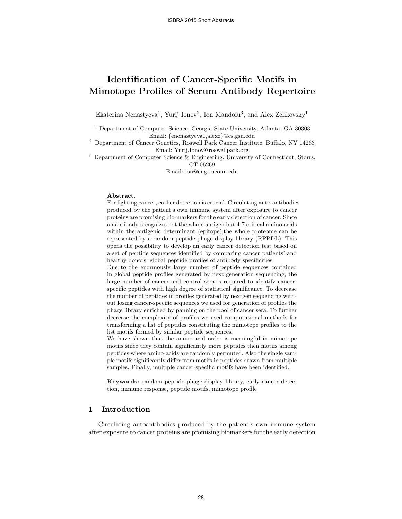# Identification of Cancer-Specific Motifs in Mimotope Profiles of Serum Antibody Repertoire

Ekaterina Nenastyeva<sup>1</sup>, Yurij Ionov<sup>2</sup>, Ion Mandoiu<sup>3</sup>, and Alex Zelikovsky<sup>1</sup>

 $^{\rm 1}$  Department of Computer Science, Georgia State University, Atlanta, GA 30303 Email: {enenastyeva1,alexz}@cs.gsu.edu

<sup>2</sup> Department of Cancer Genetics, Roswell Park Cancer Institute, Buffalo, NY 14263 Email: Yurij.Ionov@roswellpark.org

<sup>3</sup> Department of Computer Science & Engineering, University of Connecticut, Storrs, CT 06269

Email: ion@engr.uconn.edu

#### Abstract.

For fighting cancer, earlier detection is crucial. Circulating auto-antibodies produced by the patient's own immune system after exposure to cancer proteins are promising bio-markers for the early detection of cancer. Since an antibody recognizes not the whole antigen but 4-7 critical amino acids within the antigenic determinant (epitope), the whole proteome can be represented by a random peptide phage display library (RPPDL). This opens the possibility to develop an early cancer detection test based on a set of peptide sequences identified by comparing cancer patients' and healthy donors' global peptide profiles of antibody specificities.

Due to the enormously large number of peptide sequences contained in global peptide profiles generated by next generation sequencing, the large number of cancer and control sera is required to identify cancerspecific peptides with high degree of statistical significance. To decrease the number of peptides in profiles generated by nextgen sequencing without losing cancer-specific sequences we used for generation of profiles the phage library enriched by panning on the pool of cancer sera. To further decrease the complexity of profiles we used computational methods for transforming a list of peptides constituting the mimotope profiles to the list motifs formed by similar peptide sequences.

We have shown that the amino-acid order is meaningful in mimotope motifs since they contain significantly more peptides then motifs among peptides where amino-acids are randomly permuted. Also the single sample motifs significantly differ from motifs in peptides drawn from multiple samples. Finally, multiple cancer-specific motifs have been identified.

Keywords: random peptide phage display library, early cancer detection, immune response, peptide motifs, mimotope profile

## 1 Introduction

Circulating autoantibodies produced by the patient's own immune system after exposure to cancer proteins are promising biomarkers for the early detection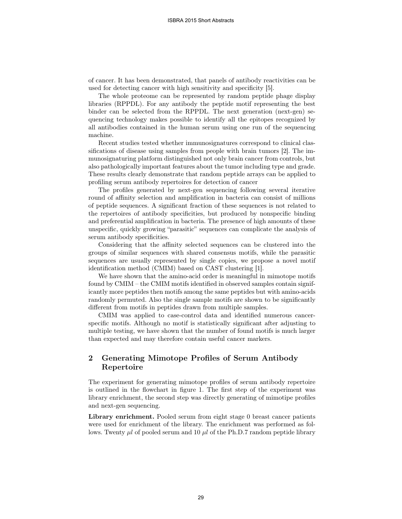of cancer. It has been demonstrated, that panels of antibody reactivities can be used for detecting cancer with high sensitivity and specificity [5].

The whole proteome can be represented by random peptide phage display libraries (RPPDL). For any antibody the peptide motif representing the best binder can be selected from the RPPDL. The next generation (next-gen) sequencing technology makes possible to identify all the epitopes recognized by all antibodies contained in the human serum using one run of the sequencing machine.

Recent studies tested whether immunosignatures correspond to clinical classifications of disease using samples from people with brain tumors [2]. The immunosignaturing platform distinguished not only brain cancer from controls, but also pathologically important features about the tumor including type and grade. These results clearly demonstrate that random peptide arrays can be applied to profiling serum antibody repertoires for detection of cancer

The profiles generated by next-gen sequencing following several iterative round of affinity selection and amplification in bacteria can consist of millions of peptide sequences. A significant fraction of these sequences is not related to the repertoires of antibody specificities, but produced by nonspecific binding and preferential amplification in bacteria. The presence of high amounts of these unspecific, quickly growing "parasitic" sequences can complicate the analysis of serum antibody specificities.

Considering that the affinity selected sequences can be clustered into the groups of similar sequences with shared consensus motifs, while the parasitic sequences are usually represented by single copies, we propose a novel motif identification method (CMIM) based on CAST clustering [1].

We have shown that the amino-acid order is meaningful in mimotope motifs found by CMIM – the CMIM motifs identified in observed samples contain significantly more peptides then motifs among the same peptides but with amino-acids randomly permuted. Also the single sample motifs are shown to be significantly different from motifs in peptides drawn from multiple samples.

CMIM was applied to case-control data and identified numerous cancerspecific motifs. Although no motif is statistically significant after adjusting to multiple testing, we have shown that the number of found motifs is much larger than expected and may therefore contain useful cancer markers.

## 2 Generating Mimotope Profiles of Serum Antibody Repertoire

The experiment for generating mimotope profiles of serum antibody repertoire is outlined in the flowchart in figure 1. The first step of the experiment was library enrichment, the second step was directly generating of mimotipe profiles and next-gen sequencing.

Library enrichment. Pooled serum from eight stage 0 breast cancer patients were used for enrichment of the library. The enrichment was performed as follows. Twenty  $\mu l$  of pooled serum and 10  $\mu l$  of the Ph.D.7 random peptide library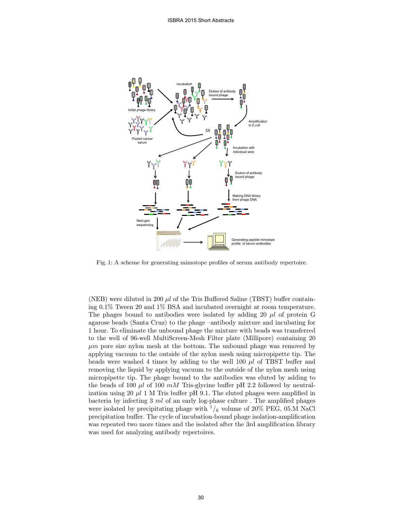

Fig. 1: A scheme for generating mimotope profiles of serum antibody repertoire.

(NEB) were diluted in 200  $\mu$  of the Tris Buffered Saline (TBST) buffer containing 0.1% Tween 20 and 1% BSA and incubated overnight at room temperature. The phages bound to antibodies were isolated by adding 20  $\mu$ l of protein G agarose beads (Santa Cruz) to the phage –antibody mixture and incubating for 1 hour. To eliminate the unbound phage the mixture with beads was transferred to the well of 96-well MultiScreen-Mesh Filter plate (Millipore) containing 20  $\mu$ m pore size nylon mesh at the bottom. The unbound phage was removed by applying vacuum to the outside of the nylon mesh using micropipette tip. The beads were washed 4 times by adding to the well  $100 \mu l$  of TBST buffer and removing the liquid by applying vacuum to the outside of the nylon mesh using micropipette tip. The phage bound to the antibodies was eluted by adding to the beads of 100  $\mu$ l of 100  $m$ M Tris-glycine buffer pH 2.2 followed by neutralization using 20  $\mu$ l 1 M Tris buffer pH 9.1. The eluted phages were amplified in bacteria by infecting  $3 \, ml$  of an early log-phase culture. The amplified phages were isolated by precipitating phage with  $\frac{1}{6}$  volume of 20% PEG, 05.M NaCl precipitation buffer. The cycle of incubation-bound phage isolation-amplification was repeated two more times and the isolated after the 3rd amplification library was used for analyzing antibody repertoires.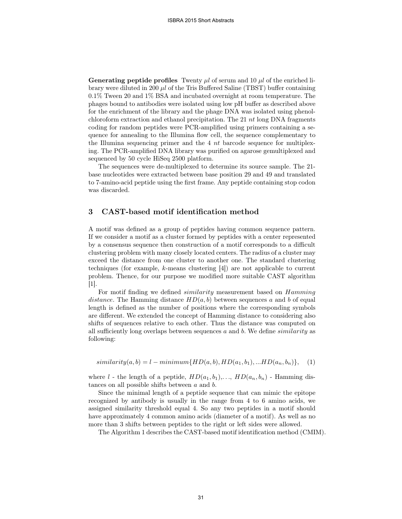**Generating peptide profiles** Twenty  $\mu l$  of serum and 10  $\mu l$  of the enriched library were diluted in 200  $\mu$  of the Tris Buffered Saline (TBST) buffer containing 0.1% Tween 20 and 1% BSA and incubated overnight at room temperature. The phages bound to antibodies were isolated using low pH buffer as described above for the enrichment of the library and the phage DNA was isolated using phenolchloroform extraction and ethanol precipitation. The 21  $nt$  long DNA fragments coding for random peptides were PCR-amplified using primers containing a sequence for annealing to the Illumina flow cell, the sequence complementary to the Illumina sequencing primer and the  $4nt$  barcode sequence for multiplexing. The PCR-amplified DNA library was purified on agarose gemultiplexed and sequenced by 50 cycle HiSeq 2500 platform.

The sequences were de-multiplexed to determine its source sample. The 21 base nucleotides were extracted between base position 29 and 49 and translated to 7-amino-acid peptide using the first frame. Any peptide containing stop codon was discarded.

### 3 CAST-based motif identification method

A motif was defined as a group of peptides having common sequence pattern. If we consider a motif as a cluster formed by peptides with a center represented by a consensus sequence then construction of a motif corresponds to a difficult clustering problem with many closely located centers. The radius of a cluster may exceed the distance from one cluster to another one. The standard clustering techniques (for example, k-means clustering [4]) are not applicable to current problem. Thence, for our purpose we modified more suitable CAST algorithm [1].

For motif finding we defined similarity measurement based on Hamming distance. The Hamming distance  $HD(a, b)$  between sequences a and b of equal length is defined as the number of positions where the corresponding symbols are different. We extended the concept of Hamming distance to considering also shifts of sequences relative to each other. Thus the distance was computed on all sufficiently long overlaps between sequences  $a$  and  $b$ . We define *similarity* as following:

 $similarity(a, b) = l - minimum\{HD(a, b), HD(a_1, b_1), ... HD(a_n, b_n)\},$  (1)

where l - the length of a peptide,  $HD(a_1, b_1), \ldots, HD(a_n, b_n)$  - Hamming distances on all possible shifts between a and b.

Since the minimal length of a peptide sequence that can mimic the epitope recognized by antibody is usually in the range from 4 to 6 amino acids, we assigned similarity threshold equal 4. So any two peptides in a motif should have approximately 4 common amino acids (diameter of a motif). As well as no more than 3 shifts between peptides to the right or left sides were allowed.

The Algorithm 1 describes the CAST-based motif identification method (CMIM).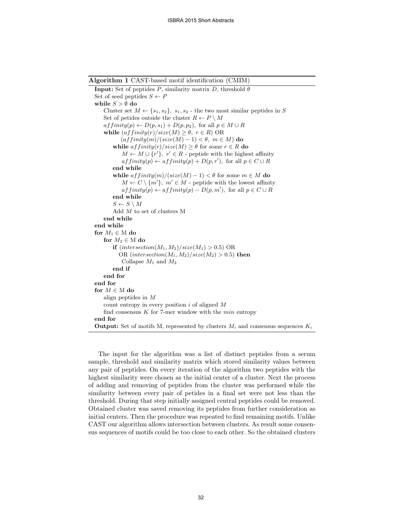Algorithm 1 CAST-based motif identification (CMIM) **Input:** Set of peptides P, similarity matrix D, threshold  $\theta$ Set of seed peptides  $S \leftarrow P$ while  $S > \emptyset$  do Cluster set  $M \leftarrow \{s_1, s_2\}$ ,  $s_1, s_2$  - the two most similar peptides in S Set of petides outside the cluster  $R \leftarrow P \setminus M$  $affinity(p) \leftarrow D(p, s_1) + D(p, p_2)$ , for all  $p \in M \cup R$ while  $(affinity(r)/size(M) \geq \theta, r \in R) \text{ OR }$  $\left( \frac{affinity(m)}{(\text{size}(M) - 1) < \theta, m \in M} \right)$  do while  $affinity(r)/size(M) \geq \theta$  for some  $r \in R$  do  $M \leftarrow M \cup \{r'\}, r' \in R$  - peptide with the highest affinity  $affinity(p) \leftarrow affinity(p) + D(p, r'),$  for all  $p \in C \cup R$ end while while  $affinity(m)/(size(M) - 1) < \theta$  for some  $m \in M$  do  $M \leftarrow C \setminus \{m'\}, m' \in M$  - peptide with the lowest affinity  $affinity(p) \leftarrow affinity(p) - D(p, m'),$  for all  $p \in C \cup R$ end while  $S \leftarrow S \setminus M$ Add M to set of clusters M end while end while for  $M_1 \in M$  do for  $M_2 \in M$  do if  $(intersection(M_1, M_2)/size(M_1) > 0.5) \text{ OR}$ OR (intersection( $M_1, M_2$ )/size( $M_2$ ) > 0.5) then Collapse  $M_1$  and  $M_2$ end if end for end for for  $M \in M$  do align peptides in M count entropy in every position  $i$  of aligned  $M$ find consensus  $K$  for 7-mer window with the  $min$  entropy end for **Output:** Set of motifs M, represented by clusters  $M_i$  and consensus sequences  $K_i$ 

The input for the algorithm was a list of distinct peptides from a serum sample, threshold and similarity matrix which stored similarity values between any pair of peptides. On every iteration of the algorithm two peptides with the highest similarity were chosen as the initial center of a cluster. Next the process of adding and removing of peptides from the cluster was performed while the similarity between every pair of petides in a final set were not less than the threshold. During that step initially assigned central peptides could be removed. Obtained cluster was saved removing its peptides from further consideration as initial centers. Then the procedure was repeated to find remaining motifs. Unlike CAST our algorithm allows intersection between clusters. As result some consensus sequences of motifs could be too close to each other. So the obtained clusters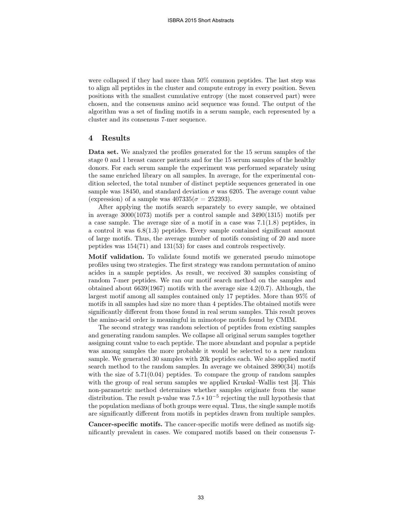were collapsed if they had more than 50% common peptides. The last step was to align all peptides in the cluster and compute entropy in every position. Seven positions with the smallest cumulative entropy (the most conserved part) were chosen, and the consensus amino acid sequence was found. The output of the algorithm was a set of finding motifs in a serum sample, each represented by a cluster and its consensus 7-mer sequence.

#### 4 Results

Data set. We analyzed the profiles generated for the 15 serum samples of the stage 0 and 1 breast cancer patients and for the 15 serum samples of the healthy donors. For each serum sample the experiment was performed separately using the same enriched library on all samples. In average, for the experimental condition selected, the total number of distinct peptide sequences generated in one sample was 18450, and standard deviation  $\sigma$  was 6205. The average count value (expression) of a sample was  $407335(\sigma = 252393)$ .

After applying the motifs search separately to every sample, we obtained in average 3000(1073) motifs per a control sample and 3490(1315) motifs per a case sample. The average size of a motif in a case was 7.1(1.8) peptides, in a control it was 6.8(1.3) peptides. Every sample contained significant amount of large motifs. Thus, the average number of motifs consisting of 20 and more peptides was 154(71) and 131(53) for cases and controls respectively.

Motif validation. To validate found motifs we generated pseudo mimotope profiles using two strategies. The first strategy was random permutation of amino acides in a sample peptides. As result, we received 30 samples consisting of random 7-mer peptides. We ran our motif search method on the samples and obtained about 6639(1967) motifs with the average size 4.2(0.7). Although, the largest motif among all samples contained only 17 peptides. More than 95% of motifs in all samples had size no more than 4 peptides.The obtained motifs were significantly different from those found in real serum samples. This result proves the amino-acid order is meaningful in mimotope motifs found by CMIM.

The second strategy was random selection of peptides from existing samples and generating random samples. We collapse all original serum samples together assigning count value to each peptide. The more abundant and popular a peptide was among samples the more probable it would be selected to a new random sample. We generated 30 samples with 20k peptides each. We also applied motif search method to the random samples. In average we obtained 3890(34) motifs with the size of  $5.71(0.04)$  peptides. To compare the group of random samples with the group of real serum samples we applied Kruskal–Wallis test [3]. This non-parametric method determines whether samples originate from the same distribution. The result p-value was  $7.5 * 10^{-5}$  rejecting the null hypothesis that the population medians of both groups were equal. Thus, the single sample motifs are significantly different from motifs in peptides drawn from multiple samples.

Cancer-specific motifs. The cancer-specific motifs were defined as motifs significantly prevalent in cases. We compared motifs based on their consensus 7-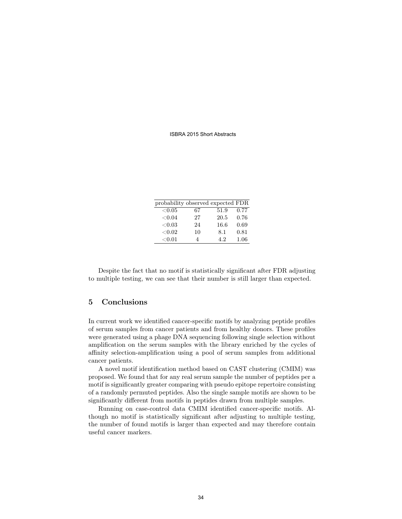#### ISBRA 2015 Short Abstracts

| probability observed expected FDR |    |      |      |
|-----------------------------------|----|------|------|
| ${<}0.05$                         | 67 | 51.9 | 0.77 |
| ${<}0.04$                         | 27 | 20.5 | 0.76 |
| < 0.03                            | 24 | 16.6 | 0.69 |
| ${<}0.02$                         | 10 | 8.1  | 0.81 |
| < 0.01                            | 4  | 4.2  | 1.06 |

Despite the fact that no motif is statistically significant after FDR adjusting to multiple testing, we can see that their number is still larger than expected.

# 5 Conclusions

In current work we identified cancer-specific motifs by analyzing peptide profiles of serum samples from cancer patients and from healthy donors. These profiles were generated using a phage DNA sequencing following single selection without amplification on the serum samples with the library enriched by the cycles of affinity selection-amplification using a pool of serum samples from additional cancer patients.

A novel motif identification method based on CAST clustering (CMIM) was proposed. We found that for any real serum sample the number of peptides per a motif is significantly greater comparing with pseudo epitope repertoire consisting of a randomly permuted peptides. Also the single sample motifs are shown to be significantly different from motifs in peptides drawn from multiple samples.

Running on case-control data CMIM identified cancer-specific motifs. Although no motif is statistically significant after adjusting to multiple testing, the number of found motifs is larger than expected and may therefore contain useful cancer markers.